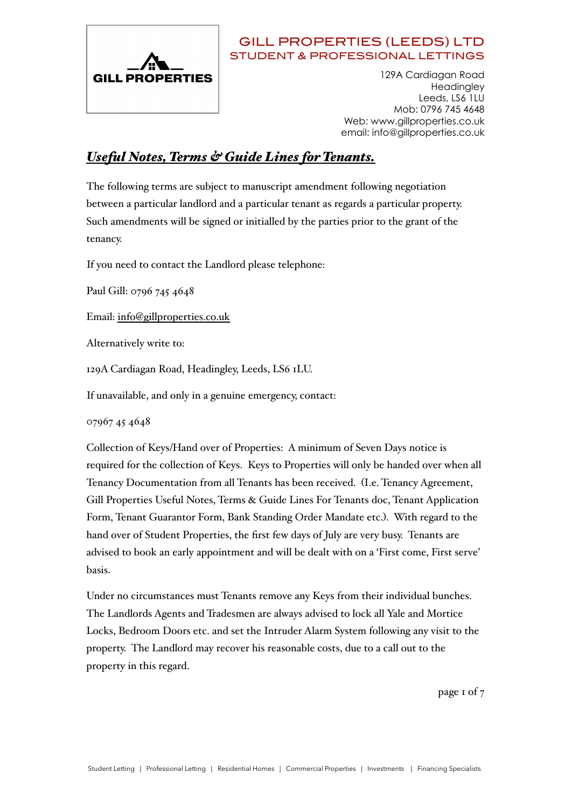

 129A Cardiagan Road **Headingley** Leeds, LS6 1LU Mob: 0796 745 4648 Web: www.gillproperties.co.uk email: info@gillproperties.co.uk

# *Useful Notes, Terms & Guide Lines for Tenants.*

The following terms are subject to manuscript amendment following negotiation between a particular landlord and a particular tenant as regards a particular property. Such amendments will be signed or initialled by the parties prior to the grant of the tenancy.

If you need to contact the Landlord please telephone:

Paul Gill: 0796 745 4648

Email: [info@gillproperties.co.uk](mailto:info@gillproperties.co.uk)

Alternatively write to:

129A Cardiagan Road, Headingley, Leeds, LS6 1LU.

If unavailable, and only in a genuine emergency, contact:

07967 45 4648

Collection of Keys/Hand over of Properties: A minimum of Seven Days notice is required for the collection of Keys. Keys to Properties will only be handed over when all Tenancy Documentation from all Tenants has been received. (I.e. Tenancy Agreement, Gill Properties Useful Notes, Terms & Guide Lines For Tenants doc, Tenant Application Form, Tenant Guarantor Form, Bank Standing Order Mandate etc.). With regard to the hand over of Student Properties, the first few days of July are very busy. Tenants are advised to book an early appointment and will be dealt with on a 'First come, First serve' basis.

Under no circumstances must Tenants remove any Keys from their individual bunches. The Landlords Agents and Tradesmen are always advised to lock all Yale and Mortice Locks, Bedroom Doors etc. and set the Intruder Alarm System following any visit to the property. The Landlord may recover his reasonable costs, due to a call out to the property in this regard.

page 1 of 7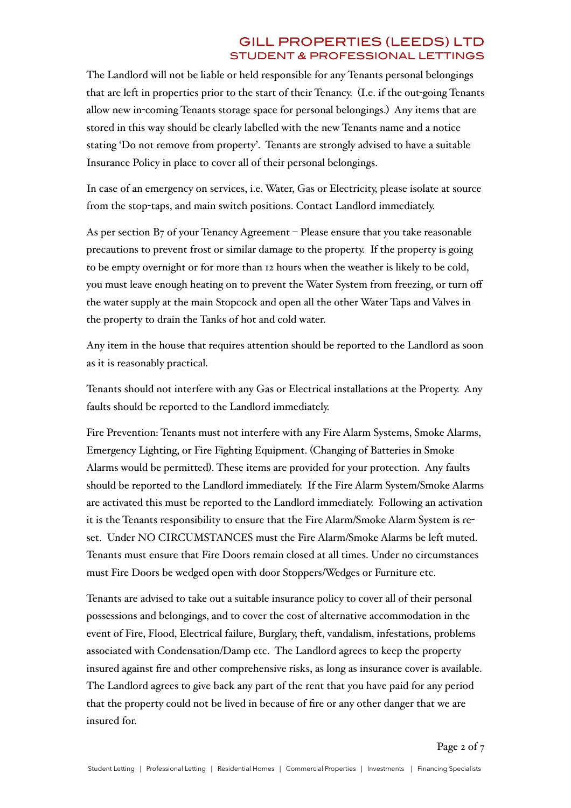The Landlord will not be liable or held responsible for any Tenants personal belongings that are left in properties prior to the start of their Tenancy. (I.e. if the out-going Tenants allow new in-coming Tenants storage space for personal belongings.) Any items that are stored in this way should be clearly labelled with the new Tenants name and a notice stating 'Do not remove from property'. Tenants are strongly advised to have a suitable Insurance Policy in place to cover all of their personal belongings.

In case of an emergency on services, i.e. Water, Gas or Electricity, please isolate at source from the stop-taps, and main switch positions. Contact Landlord immediately.

As per section  $B_7$  of your Tenancy Agreement – Please ensure that you take reasonable precautions to prevent frost or similar damage to the property. If the property is going to be empty overnight or for more than 12 hours when the weather is likely to be cold, you must leave enough heating on to prevent the Water System from freezing, or turn off the water supply at the main Stopcock and open all the other Water Taps and Valves in the property to drain the Tanks of hot and cold water.

Any item in the house that requires attention should be reported to the Landlord as soon as it is reasonably practical.

Tenants should not interfere with any Gas or Electrical installations at the Property. Any faults should be reported to the Landlord immediately.

Fire Prevention: Tenants must not interfere with any Fire Alarm Systems, Smoke Alarms, Emergency Lighting, or Fire Fighting Equipment. (Changing of Batteries in Smoke Alarms would be permitted). These items are provided for your protection. Any faults should be reported to the Landlord immediately. If the Fire Alarm System/Smoke Alarms are activated this must be reported to the Landlord immediately. Following an activation it is the Tenants responsibility to ensure that the Fire Alarm/Smoke Alarm System is reset. Under NO CIRCUMSTANCES must the Fire Alarm/Smoke Alarms be left muted. Tenants must ensure that Fire Doors remain closed at all times. Under no circumstances must Fire Doors be wedged open with door Stoppers/Wedges or Furniture etc.

Tenants are advised to take out a suitable insurance policy to cover all of their personal possessions and belongings, and to cover the cost of alternative accommodation in the event of Fire, Flood, Electrical failure, Burglary, theft, vandalism, infestations, problems associated with Condensation/Damp etc. The Landlord agrees to keep the property insured against fire and other comprehensive risks, as long as insurance cover is available. The Landlord agrees to give back any part of the rent that you have paid for any period that the property could not be lived in because of fire or any other danger that we are insured for.

Page 2 of 7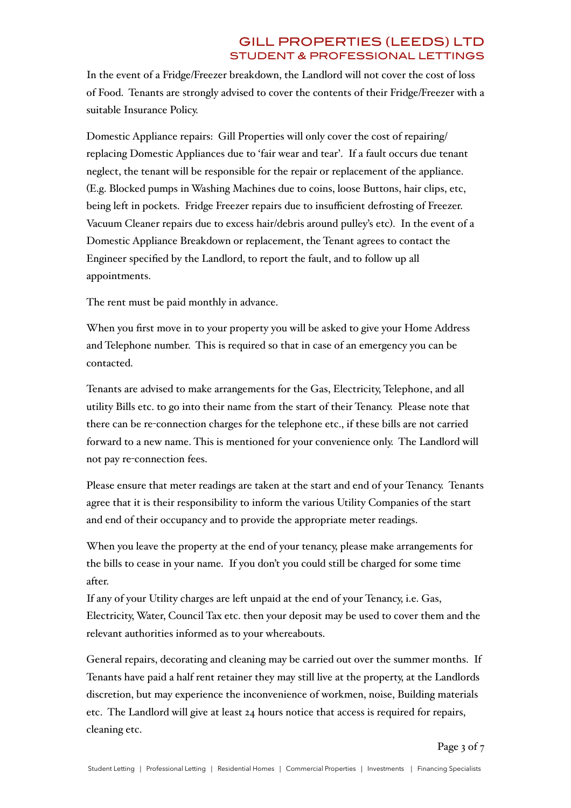In the event of a Fridge/Freezer breakdown, the Landlord will not cover the cost of loss of Food. Tenants are strongly advised to cover the contents of their Fridge/Freezer with a suitable Insurance Policy.

Domestic Appliance repairs: Gill Properties will only cover the cost of repairing/ replacing Domestic Appliances due to 'fair wear and tear'. If a fault occurs due tenant neglect, the tenant will be responsible for the repair or replacement of the appliance. (E.g. Blocked pumps in Washing Machines due to coins, loose Buttons, hair clips, etc, being left in pockets. Fridge Freezer repairs due to insufficient defrosting of Freezer. Vacuum Cleaner repairs due to excess hair/debris around pulley's etc). In the event of a Domestic Appliance Breakdown or replacement, the Tenant agrees to contact the Engineer specified by the Landlord, to report the fault, and to follow up all appointments.

The rent must be paid monthly in advance.

When you first move in to your property you will be asked to give your Home Address and Telephone number. This is required so that in case of an emergency you can be contacted.

Tenants are advised to make arrangements for the Gas, Electricity, Telephone, and all utility Bills etc. to go into their name from the start of their Tenancy. Please note that there can be re-connection charges for the telephone etc., if these bills are not carried forward to a new name. This is mentioned for your convenience only. The Landlord will not pay re-connection fees.

Please ensure that meter readings are taken at the start and end of your Tenancy. Tenants agree that it is their responsibility to inform the various Utility Companies of the start and end of their occupancy and to provide the appropriate meter readings.

When you leave the property at the end of your tenancy, please make arrangements for the bills to cease in your name. If you don't you could still be charged for some time after.

If any of your Utility charges are left unpaid at the end of your Tenancy, i.e. Gas, Electricity, Water, Council Tax etc. then your deposit may be used to cover them and the relevant authorities informed as to your whereabouts.

General repairs, decorating and cleaning may be carried out over the summer months. If Tenants have paid a half rent retainer they may still live at the property, at the Landlords discretion, but may experience the inconvenience of workmen, noise, Building materials etc. The Landlord will give at least 24 hours notice that access is required for repairs, cleaning etc.

Page 3 of 7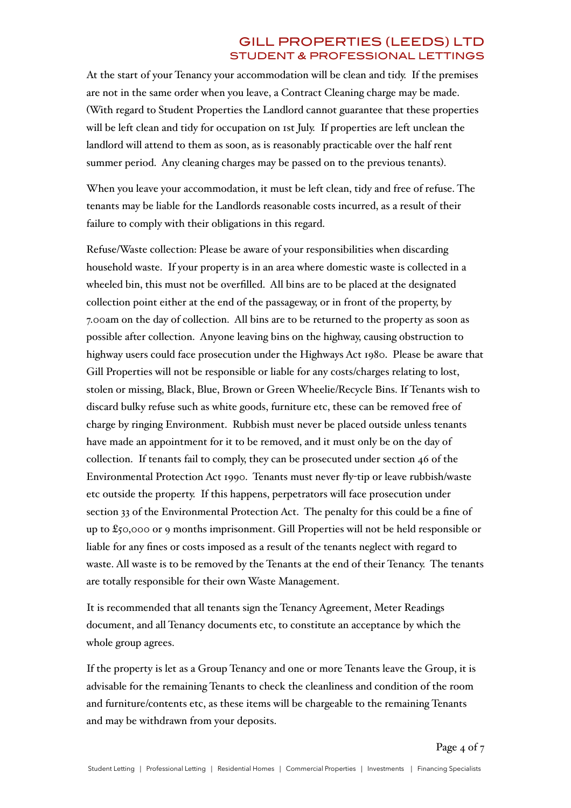At the start of your Tenancy your accommodation will be clean and tidy. If the premises are not in the same order when you leave, a Contract Cleaning charge may be made. (With regard to Student Properties the Landlord cannot guarantee that these properties will be left clean and tidy for occupation on 1st July. If properties are left unclean the landlord will attend to them as soon, as is reasonably practicable over the half rent summer period. Any cleaning charges may be passed on to the previous tenants).

When you leave your accommodation, it must be left clean, tidy and free of refuse. The tenants may be liable for the Landlords reasonable costs incurred, as a result of their failure to comply with their obligations in this regard.

Refuse/Waste collection: Please be aware of your responsibilities when discarding household waste. If your property is in an area where domestic waste is collected in a wheeled bin, this must not be overfilled. All bins are to be placed at the designated collection point either at the end of the passageway, or in front of the property, by 7.00am on the day of collection. All bins are to be returned to the property as soon as possible after collection. Anyone leaving bins on the highway, causing obstruction to highway users could face prosecution under the Highways Act 1980. Please be aware that Gill Properties will not be responsible or liable for any costs/charges relating to lost, stolen or missing, Black, Blue, Brown or Green Wheelie/Recycle Bins. If Tenants wish to discard bulky refuse such as white goods, furniture etc, these can be removed free of charge by ringing Environment. Rubbish must never be placed outside unless tenants have made an appointment for it to be removed, and it must only be on the day of collection. If tenants fail to comply, they can be prosecuted under section 46 of the Environmental Protection Act 1990. Tenants must never fly-tip or leave rubbish/waste etc outside the property. If this happens, perpetrators will face prosecution under section 33 of the Environmental Protection Act. The penalty for this could be a fine of up to £50,000 or 9 months imprisonment. Gill Properties will not be held responsible or liable for any fines or costs imposed as a result of the tenants neglect with regard to waste. All waste is to be removed by the Tenants at the end of their Tenancy. The tenants are totally responsible for their own Waste Management.

It is recommended that all tenants sign the Tenancy Agreement, Meter Readings document, and all Tenancy documents etc, to constitute an acceptance by which the whole group agrees.

If the property is let as a Group Tenancy and one or more Tenants leave the Group, it is advisable for the remaining Tenants to check the cleanliness and condition of the room and furniture/contents etc, as these items will be chargeable to the remaining Tenants and may be withdrawn from your deposits.

Page 4 of 7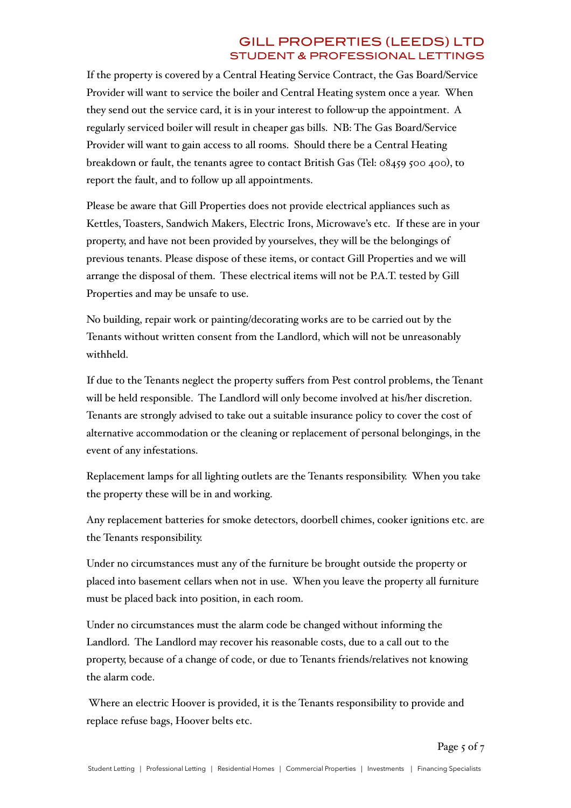If the property is covered by a Central Heating Service Contract, the Gas Board/Service Provider will want to service the boiler and Central Heating system once a year. When they send out the service card, it is in your interest to follow-up the appointment. A regularly serviced boiler will result in cheaper gas bills. NB: The Gas Board/Service Provider will want to gain access to all rooms. Should there be a Central Heating breakdown or fault, the tenants agree to contact British Gas (Tel: 08459 500 400), to report the fault, and to follow up all appointments.

Please be aware that Gill Properties does not provide electrical appliances such as Kettles, Toasters, Sandwich Makers, Electric Irons, Microwave's etc. If these are in your property, and have not been provided by yourselves, they will be the belongings of previous tenants. Please dispose of these items, or contact Gill Properties and we will arrange the disposal of them. These electrical items will not be P.A.T. tested by Gill Properties and may be unsafe to use.

No building, repair work or painting/decorating works are to be carried out by the Tenants without written consent from the Landlord, which will not be unreasonably withheld.

If due to the Tenants neglect the property suffers from Pest control problems, the Tenant will be held responsible. The Landlord will only become involved at his/her discretion. Tenants are strongly advised to take out a suitable insurance policy to cover the cost of alternative accommodation or the cleaning or replacement of personal belongings, in the event of any infestations.

Replacement lamps for all lighting outlets are the Tenants responsibility. When you take the property these will be in and working.

Any replacement batteries for smoke detectors, doorbell chimes, cooker ignitions etc. are the Tenants responsibility.

Under no circumstances must any of the furniture be brought outside the property or placed into basement cellars when not in use. When you leave the property all furniture must be placed back into position, in each room.

Under no circumstances must the alarm code be changed without informing the Landlord. The Landlord may recover his reasonable costs, due to a call out to the property, because of a change of code, or due to Tenants friends/relatives not knowing the alarm code.

 Where an electric Hoover is provided, it is the Tenants responsibility to provide and replace refuse bags, Hoover belts etc.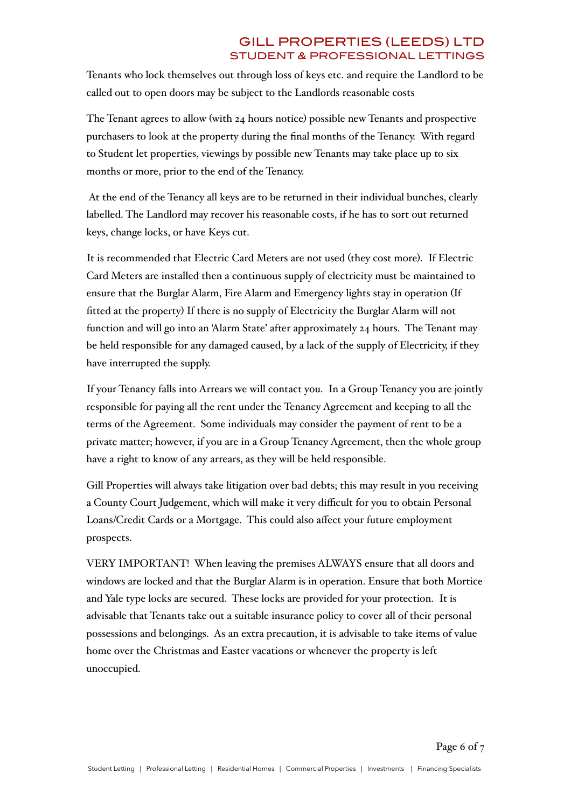Tenants who lock themselves out through loss of keys etc. and require the Landlord to be called out to open doors may be subject to the Landlords reasonable costs

The Tenant agrees to allow (with 24 hours notice) possible new Tenants and prospective purchasers to look at the property during the final months of the Tenancy. With regard to Student let properties, viewings by possible new Tenants may take place up to six months or more, prior to the end of the Tenancy.

 At the end of the Tenancy all keys are to be returned in their individual bunches, clearly labelled. The Landlord may recover his reasonable costs, if he has to sort out returned keys, change locks, or have Keys cut.

It is recommended that Electric Card Meters are not used (they cost more). If Electric Card Meters are installed then a continuous supply of electricity must be maintained to ensure that the Burglar Alarm, Fire Alarm and Emergency lights stay in operation (If fitted at the property) If there is no supply of Electricity the Burglar Alarm will not function and will go into an 'Alarm State' after approximately 24 hours. The Tenant may be held responsible for any damaged caused, by a lack of the supply of Electricity, if they have interrupted the supply.

If your Tenancy falls into Arrears we will contact you. In a Group Tenancy you are jointly responsible for paying all the rent under the Tenancy Agreement and keeping to all the terms of the Agreement. Some individuals may consider the payment of rent to be a private matter; however, if you are in a Group Tenancy Agreement, then the whole group have a right to know of any arrears, as they will be held responsible.

Gill Properties will always take litigation over bad debts; this may result in you receiving a County Court Judgement, which will make it very difficult for you to obtain Personal Loans/Credit Cards or a Mortgage. This could also affect your future employment prospects.

VERY IMPORTANT! When leaving the premises ALWAYS ensure that all doors and windows are locked and that the Burglar Alarm is in operation. Ensure that both Mortice and Yale type locks are secured. These locks are provided for your protection. It is advisable that Tenants take out a suitable insurance policy to cover all of their personal possessions and belongings. As an extra precaution, it is advisable to take items of value home over the Christmas and Easter vacations or whenever the property is left unoccupied.

Page 6 of 7